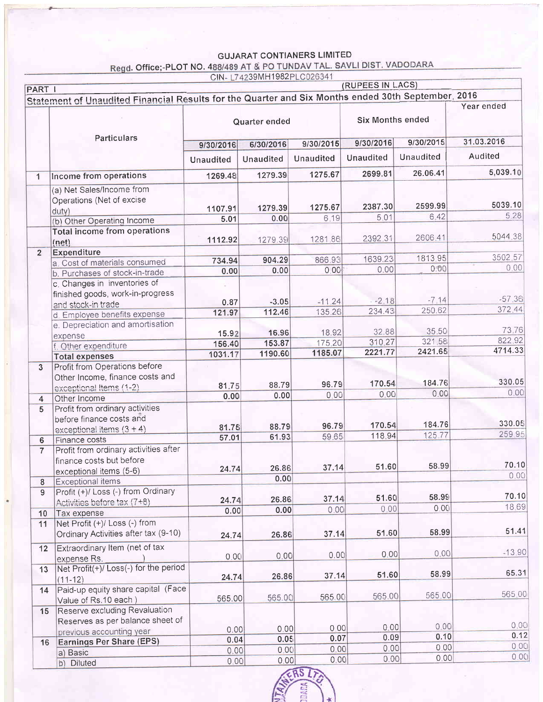### **GUJARAT CONTIANERS LIMITED**

Regd. Office;-PLOT NO. 488/489 AT & PO TUNDAV TAL. SAVLI DIST. VADODARA

|                |                                                                                                    |                                     | CIN-L74239MH1982PLC026341 |                        | (RUPEES IN LACS)        |                  |               |
|----------------|----------------------------------------------------------------------------------------------------|-------------------------------------|---------------------------|------------------------|-------------------------|------------------|---------------|
| PART I         |                                                                                                    |                                     |                           |                        |                         |                  |               |
|                | Statement of Unaudited Financial Results for the Quarter and Six Months ended 30th September, 2016 |                                     |                           |                        |                         |                  | Year ended    |
|                | Particulars                                                                                        | Quarter ended                       |                           |                        | <b>Six Months ended</b> |                  |               |
|                |                                                                                                    | 9/30/2015<br>6/30/2016<br>9/30/2016 |                           | 9/30/2015<br>9/30/2016 |                         | 31.03.2016       |               |
|                |                                                                                                    | <b>Unaudited</b>                    | <b>Unaudited</b>          | <b>Unaudited</b>       | Unaudited               | <b>Unaudited</b> | Audited       |
| $\mathbf{1}$   | Income from operations                                                                             | 1269.48                             | 1279.39                   | 1275.67                | 2699.81                 | 26.06.41         | 5,039.10      |
|                | (a) Net Sales/Income from<br>Operations (Net of excise<br>duty)                                    | 1107.91                             | 1279.39                   | 1275.67                | 2387.30                 | 2599.99          | 5039.10       |
|                | (b) Other Operating Income                                                                         | 5.01                                | 0.00                      | 6.19                   | 5,01                    | 6.42             | 5.28          |
|                | <b>Total income from operations</b><br>(net)                                                       | 1112.92                             | 1279.39                   | 1281.86                | 2392.31                 | 2606.41          | 5044.38       |
| $\overline{2}$ | Expenditure                                                                                        |                                     |                           |                        |                         |                  |               |
|                | a. Cost of materials consumed                                                                      | 734.94                              | 904.29                    | 866.93                 | 1639.23                 | 1813.95          | 3502.57       |
|                | b. Purchases of stock-in-trade                                                                     | 0.00                                | 0.00                      | 0.00                   | 0.00                    | 0.00             | 0.00          |
|                | c. Changes in inventories of                                                                       |                                     |                           |                        |                         |                  |               |
|                | finished goods, work-in-progress                                                                   |                                     |                           |                        |                         |                  |               |
|                | and stock-in trade                                                                                 | 0.87                                | $-3.05$                   | $-11.24$               | $-2.18$                 | $-7.14$          | $-57.36$      |
|                | d. Employee benefits expense                                                                       | 121.97                              | 112.46                    | 135.26                 | 234.43                  | 250.62           | 372.44        |
|                | e. Depreciation and amortisation                                                                   |                                     |                           |                        |                         |                  |               |
|                |                                                                                                    | 15.92                               | 16.96                     | 18.92                  | 32.88                   | 35.50            | 73.76         |
|                | expense                                                                                            | 156.40                              | 153.87                    | 175.20                 | 310.27                  | 321.58           | 822.92        |
|                | f. Other expenditure                                                                               | 1031.17                             | 1190.60                   | 1185.07                | 2221.77                 | 2421.65          | 4714.33       |
|                | <b>Total expenses</b>                                                                              |                                     |                           |                        |                         |                  |               |
| $\overline{3}$ | Profit from Operations before<br>Other Income, finance costs and                                   |                                     |                           |                        | 170.54                  | 184.76           | 330.05        |
|                | exceptional Items (1-2)                                                                            | 81.75                               | 88.79                     | 96.79                  |                         | 0.00             | 0.00          |
| 4              | Other Income                                                                                       | 0.00                                | 0.00                      | 0.00                   | 0.00                    |                  |               |
| 5              | Profit from ordinary activities<br>before finance costs and                                        |                                     |                           |                        |                         |                  | 330.05        |
|                | exceptional items $(3 + 4)$                                                                        | 81.75                               | 88.79                     | 96.79                  | 170.54                  | 184.76           |               |
| 6              | Finance costs                                                                                      | 57.01                               | 61.93                     | 59.65                  | 118.94                  | 125.77           | 259.95        |
| $\overline{7}$ | Profit from ordinary activities after<br>finance costs but before<br>exceptional items (5-6)       | 24.74                               | 26.86                     | 37.14                  | 51.60                   | 58.99            | 70.10<br>0.00 |
| 8              | <b>Exceptional items</b>                                                                           |                                     | 0.00                      |                        |                         |                  |               |
| 9              | Profit (+)/ Loss (-) from Ordinary                                                                 |                                     |                           |                        | 51.60                   | 58.99            | 70.10         |
|                | Activities before tax (7+8)                                                                        | 24.74                               | 26.86                     | 37.14                  |                         | 0.00             | 18.69         |
| 10             | Tax expense                                                                                        | 0.00                                | 0.00                      | 0.00                   | 0.00                    |                  |               |
| 11             | Net Profit (+)/ Loss (-) from<br>Ordinary Activities after tax (9-10)                              | 24.74                               | 26.86                     | 37.14                  | 51.60                   | 58.99            | 51.41         |
| 12             | Extraordinary Item (net of tax<br>expense Rs.                                                      | 0.00                                | 0.00                      | 0.00                   | 0.00                    | 0.00             | $-13.90$      |
| 13             | Net Profit(+)/Loss(-) for the period                                                               |                                     |                           | 37.14                  | 51.60                   | 58.99            | 65.31         |
|                | $(11 - 12)$<br>Paid-up equity share capital (Face                                                  | 24.74                               | 26.86                     |                        |                         |                  |               |
| 14             | Value of Rs.10 each)                                                                               | 565.00                              | 565.00                    | 565.00                 | 565.00                  | 565.00           | 565.00        |
| 15             | Reserve excluding Revaluation                                                                      |                                     |                           |                        |                         |                  |               |
|                | Reserves as per balance sheet of                                                                   |                                     |                           | 0.00                   | 0.00                    | 0.00             | 0,00          |
|                | previous accounting year                                                                           | 0.00                                | 0.00<br>0.05              | 0.07                   | 0.09                    | 0.10             | 0.12          |
| 16             | <b>Earnings Per Share (EPS)</b>                                                                    | 0.04                                |                           | 0.00                   | 0.00                    | 0.00             | 0.00          |
|                | a) Basic                                                                                           | 0.00                                | 0.00                      |                        | 0.00                    | 0.00             | 0.00          |
|                | b) Diluted                                                                                         | 0.00                                | 0.00                      | 0.00                   |                         |                  |               |

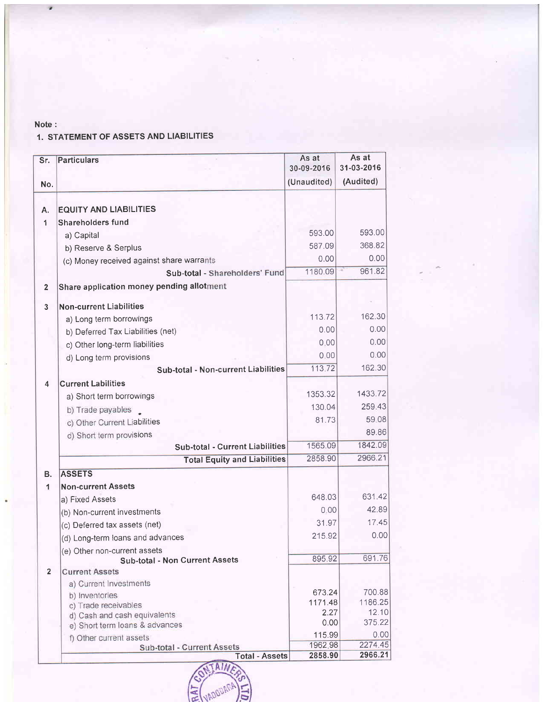#### Note :

### 1. STATEMENT OF ASSETS AND LIABILITIES

| Sr.                     | <b>Particulars</b>                                   | As at<br>30-09-2016 | As at<br>31-03-2016 |
|-------------------------|------------------------------------------------------|---------------------|---------------------|
| No.                     |                                                      | (Unaudited)         | (Audited)           |
| Α.                      | <b>EQUITY AND LIABILITIES</b>                        |                     |                     |
| 1                       | <b>Shareholders fund</b>                             |                     |                     |
|                         | a) Capital                                           | 593.00              | 593.00              |
|                         | b) Reserve & Serplus                                 | 587.09              | 368.82              |
|                         | (c) Money received against share warrants            | 0.00                | 0.00                |
|                         | Sub-total - Shareholders' Fund                       | 1180.09             | 961.82              |
| $\overline{\mathbf{2}}$ | Share application money pending allotment            |                     |                     |
|                         |                                                      |                     |                     |
| $\mathbf{3}$            | <b>Non-current Liabilities</b>                       |                     |                     |
|                         | a) Long term borrowings                              | 113.72              | 162.30              |
|                         | b) Deferred Tax Liabilities (net)                    | 0.00                | 0.00                |
|                         | c) Other long-term liabilities                       | 0.00                | 0.00                |
|                         | d) Long term provisions                              | 0.00                | 0.00                |
|                         | <b>Sub-total - Non-current Liabilities</b>           | 113.72              | 162.30              |
| 4                       | <b>Current Labilities</b>                            |                     |                     |
|                         | a) Short term borrowings                             | 1353.32             | 1433.72             |
|                         | b) Trade payables                                    | 130.04              | 259.43              |
|                         | c) Other Current Liabilities                         | 81.73               | 59.08               |
|                         | d) Short term provisions                             |                     | 89.86               |
|                         | <b>Sub-total - Current Liabilities</b>               | 1565.09             | 1842.09             |
|                         | <b>Total Equity and Liabilities</b>                  | 2858.90             | 2966.21             |
| В.                      | <b>ASSETS</b>                                        |                     |                     |
| $\mathbf{1}$            | <b>Non-current Assets</b>                            |                     |                     |
|                         | a) Fixed Assets                                      | 648.03              | 631.42              |
|                         | (b) Non-current investments                          | 0.00                | 42.89               |
|                         | (c) Deferred tax assets (net)                        | 31.97               | 17.45               |
|                         | (d) Long-term loans and advances                     | 215.92              | 0.00                |
|                         | (e) Other non-current assets                         |                     |                     |
|                         | <b>Sub-total - Non Current Assets</b>                | 895.92              | 691.76              |
| $\overline{2}$          | <b>Current Assets</b>                                |                     |                     |
|                         | a) Current Investments                               |                     |                     |
|                         | b) Inventories                                       | 673.24<br>1171.48   | 700.88<br>1186.25   |
|                         | c) Trade receivables<br>d) Cash and cash equivalents | 2.27                | 12.10               |
|                         | e) Short term loans & advances                       | 0.00                | 375.22              |
|                         | f) Other current assets                              | 115.99              | 0.00                |
|                         | Sub-total - Current Assets                           | 1962.98             | 2274.45             |
|                         | <b>Total - Assets</b>                                | 2858.90             | 2966.21             |

ΔI

**IADODAT** 

**RAT**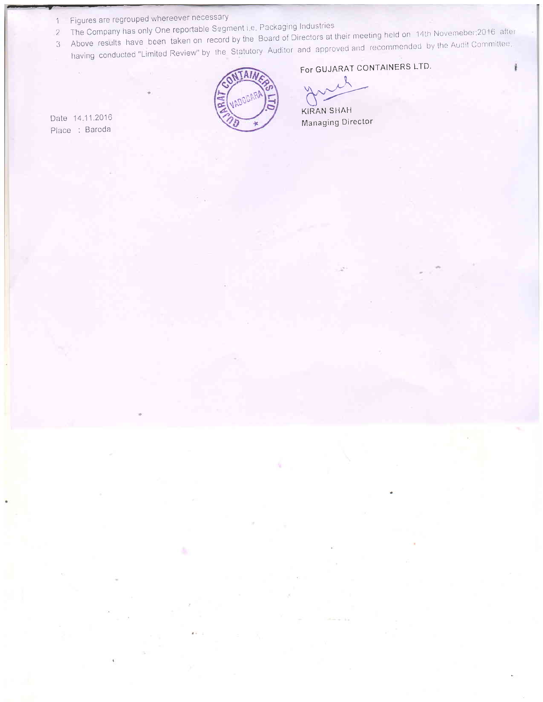- 1 Figures are regrouped whereever necessary
- The Company has only One reportable Segment i.e. Packaging Industries
- 3 Above results have been taken on record by the Board of Directors at their meeting held on 14th Novemeber; 2016 after having conducted "Limited Review" by the Statutory Auditor and approved and recommended by the Audit Committee.
- 

Date 14.11.2016 Place : Baroda



# For GUJARAT CONTAINERS LTD.

**KIRAN SHAH** Managing Director